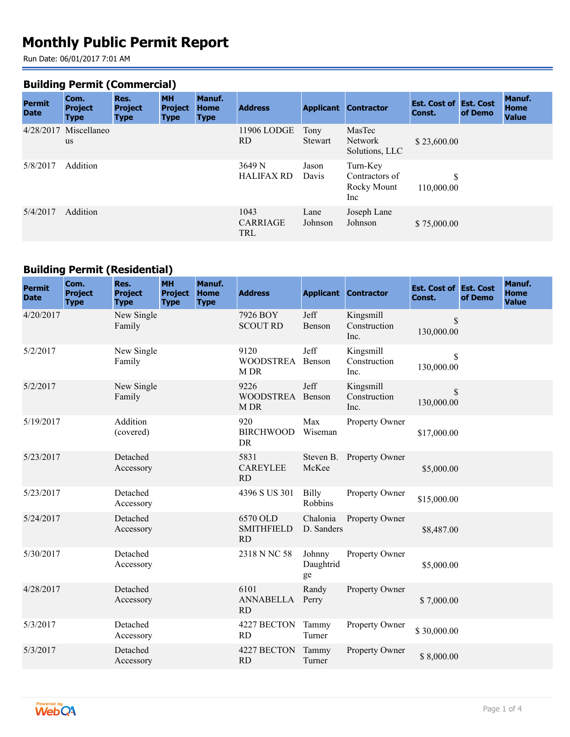# **Monthly Public Permit Report**

Run Date: 06/01/2017 7:01 AM

#### **Building Permit (Commercial)**

| <b>Permit</b><br><b>Date</b> | Com.<br><b>Project</b><br><b>Type</b> | Res.<br><b>Project</b><br><b>Type</b> | <b>MH</b><br><b>Project</b><br><b>Type</b> | Manuf.<br><b>Home</b><br><b>Type</b> | <b>Address</b>                 |                 | <b>Applicant Contractor</b>                      | <b>Est. Cost of Est. Cost</b><br>Const. | of Demo | <b>Manuf.</b><br><b>Home</b><br><b>Value</b> |
|------------------------------|---------------------------------------|---------------------------------------|--------------------------------------------|--------------------------------------|--------------------------------|-----------------|--------------------------------------------------|-----------------------------------------|---------|----------------------------------------------|
|                              | 4/28/2017 Miscellaneo<br>us           |                                       |                                            |                                      | 11906 LODGE<br>RD.             | Tony<br>Stewart | MasTec<br>Network<br>Solutions, LLC              | \$23,600.00                             |         |                                              |
| 5/8/2017                     | Addition                              |                                       |                                            |                                      | 3649 N<br><b>HALIFAX RD</b>    | Jason<br>Davis  | Turn-Key<br>Contractors of<br>Rocky Mount<br>Inc | S<br>110,000.00                         |         |                                              |
| 5/4/2017                     | Addition                              |                                       |                                            |                                      | 1043<br>CARRIAGE<br><b>TRL</b> | Lane<br>Johnson | Joseph Lane<br>Johnson                           | \$75,000.00                             |         |                                              |

#### **Building Permit (Residential)**

| <b>Permit</b><br><b>Date</b> | Com.<br><b>Project</b><br><b>Type</b> | Res.<br><b>Project</b><br><b>Type</b> | <b>MH</b><br><b>Project</b><br><b>Type</b> | Manuf.<br><b>Home</b><br><b>Type</b> | <b>Address</b>                             |                           | <b>Applicant Contractor</b>       | <b>Est. Cost of Est. Cost</b><br>Const. | of Demo | Manuf.<br><b>Home</b><br><b>Value</b> |
|------------------------------|---------------------------------------|---------------------------------------|--------------------------------------------|--------------------------------------|--------------------------------------------|---------------------------|-----------------------------------|-----------------------------------------|---------|---------------------------------------|
| 4/20/2017                    |                                       | New Single<br>Family                  |                                            |                                      | 7926 BOY<br><b>SCOUT RD</b>                | Jeff<br>Benson            | Kingsmill<br>Construction<br>Inc. | \$<br>130,000.00                        |         |                                       |
| 5/2/2017                     |                                       | New Single<br>Family                  |                                            |                                      | 9120<br><b>WOODSTREA</b><br>M DR           | Jeff<br>Benson            | Kingsmill<br>Construction<br>Inc. | \$<br>130,000.00                        |         |                                       |
| 5/2/2017                     |                                       | New Single<br>Family                  |                                            |                                      | 9226<br><b>WOODSTREA</b><br>M DR           | Jeff<br>Benson            | Kingsmill<br>Construction<br>Inc. | \$<br>130,000.00                        |         |                                       |
| 5/19/2017                    |                                       | Addition<br>(covered)                 |                                            |                                      | 920<br><b>BIRCHWOOD</b><br>DR              | Max<br>Wiseman            | Property Owner                    | \$17,000.00                             |         |                                       |
| 5/23/2017                    |                                       | Detached<br>Accessory                 |                                            |                                      | 5831<br><b>CAREYLEE</b><br>RD              | Steven B.<br>McKee        | Property Owner                    | \$5,000.00                              |         |                                       |
| 5/23/2017                    |                                       | Detached<br>Accessory                 |                                            |                                      | 4396 S US 301                              | <b>Billy</b><br>Robbins   | Property Owner                    | \$15,000.00                             |         |                                       |
| 5/24/2017                    |                                       | Detached<br>Accessory                 |                                            |                                      | 6570 OLD<br><b>SMITHFIELD</b><br><b>RD</b> | Chalonia<br>D. Sanders    | Property Owner                    | \$8,487.00                              |         |                                       |
| 5/30/2017                    |                                       | Detached<br>Accessory                 |                                            |                                      | 2318 N NC 58                               | Johnny<br>Daughtrid<br>ge | Property Owner                    | \$5,000.00                              |         |                                       |
| 4/28/2017                    |                                       | Detached<br>Accessory                 |                                            |                                      | 6101<br><b>ANNABELLA</b><br><b>RD</b>      | Randy<br>Perry            | Property Owner                    | \$7,000.00                              |         |                                       |
| 5/3/2017                     |                                       | Detached<br>Accessory                 |                                            |                                      | 4227 BECTON<br><b>RD</b>                   | Tammy<br>Turner           | Property Owner                    | \$30,000.00                             |         |                                       |
| 5/3/2017                     |                                       | Detached<br>Accessory                 |                                            |                                      | 4227 BECTON<br>RD                          | Tammy<br>Turner           | Property Owner                    | \$8,000.00                              |         |                                       |

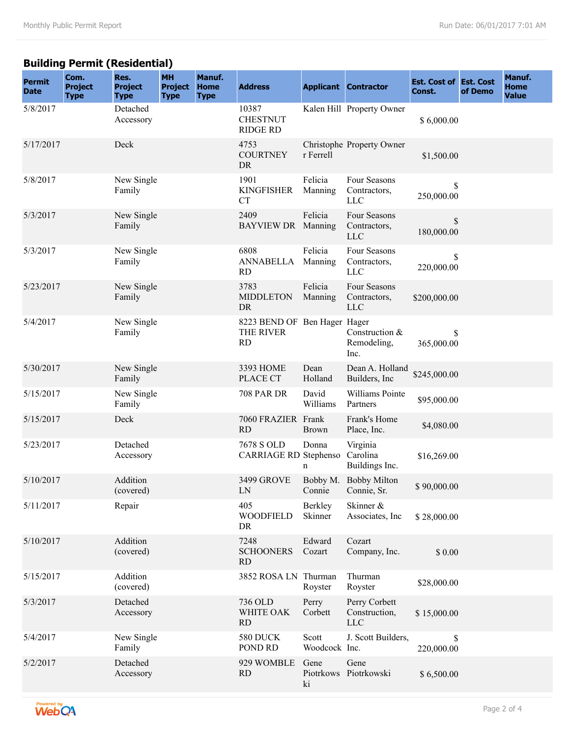# **Building Permit (Residential)**

| <b>Permit</b><br><b>Date</b> | Com.<br><b>Project</b><br><b>Type</b> | Res.<br><b>Project</b><br><b>Type</b> | <b>MH</b><br><b>Project</b><br><b>Type</b> | Manuf.<br><b>Home</b><br><b>Type</b> | <b>Address</b>                                         |                         | <b>Applicant Contractor</b>                | <b>Est. Cost of Est. Cost</b><br>Const. | of Demo | Manuf.<br><b>Home</b><br><b>Value</b> |
|------------------------------|---------------------------------------|---------------------------------------|--------------------------------------------|--------------------------------------|--------------------------------------------------------|-------------------------|--------------------------------------------|-----------------------------------------|---------|---------------------------------------|
| 5/8/2017                     |                                       | Detached<br>Accessory                 |                                            |                                      | 10387<br><b>CHESTNUT</b><br><b>RIDGE RD</b>            |                         | Kalen Hill Property Owner                  | \$6,000.00                              |         |                                       |
| 5/17/2017                    |                                       | Deck                                  |                                            |                                      | 4753<br><b>COURTNEY</b><br><b>DR</b>                   | r Ferrell               | Christophe Property Owner                  | \$1,500.00                              |         |                                       |
| 5/8/2017                     |                                       | New Single<br>Family                  |                                            |                                      | 1901<br><b>KINGFISHER</b><br><b>CT</b>                 | Felicia<br>Manning      | Four Seasons<br>Contractors,<br><b>LLC</b> | \$<br>250,000.00                        |         |                                       |
| 5/3/2017                     |                                       | New Single<br>Family                  |                                            |                                      | 2409<br>BAYVIEW DR Manning                             | Felicia                 | Four Seasons<br>Contractors,<br><b>LLC</b> | $\mathbb{S}$<br>180,000.00              |         |                                       |
| 5/3/2017                     |                                       | New Single<br>Family                  |                                            |                                      | 6808<br><b>ANNABELLA</b><br><b>RD</b>                  | Felicia<br>Manning      | Four Seasons<br>Contractors,<br><b>LLC</b> | \$<br>220,000.00                        |         |                                       |
| 5/23/2017                    |                                       | New Single<br>Family                  |                                            |                                      | 3783<br><b>MIDDLETON</b><br><b>DR</b>                  | Felicia<br>Manning      | Four Seasons<br>Contractors,<br><b>LLC</b> | \$200,000.00                            |         |                                       |
| 5/4/2017                     |                                       | New Single<br>Family                  |                                            |                                      | 8223 BEND OF Ben Hager Hager<br>THE RIVER<br><b>RD</b> |                         | Construction &<br>Remodeling,<br>Inc.      | \$<br>365,000.00                        |         |                                       |
| 5/30/2017                    |                                       | New Single<br>Family                  |                                            |                                      | 3393 HOME<br>PLACE CT                                  | Dean<br>Holland         | Dean A. Holland<br>Builders, Inc           | \$245,000.00                            |         |                                       |
| 5/15/2017                    |                                       | New Single<br>Family                  |                                            |                                      | <b>708 PAR DR</b>                                      | David<br>Williams       | Williams Pointe<br>Partners                | \$95,000.00                             |         |                                       |
| 5/15/2017                    |                                       | Deck                                  |                                            |                                      | 7060 FRAZIER Frank<br><b>RD</b>                        | <b>Brown</b>            | Frank's Home<br>Place, Inc.                | \$4,080.00                              |         |                                       |
| 5/23/2017                    |                                       | Detached<br>Accessory                 |                                            |                                      | 7678 S OLD<br><b>CARRIAGE RD Stephenso</b>             | Donna<br>n              | Virginia<br>Carolina<br>Buildings Inc.     | \$16,269.00                             |         |                                       |
| 5/10/2017                    |                                       | Addition<br>(covered)                 |                                            |                                      | 3499 GROVE<br>LN                                       | Connie                  | Bobby M. Bobby Milton<br>Connie, Sr.       | \$90,000.00                             |         |                                       |
| 5/11/2017                    |                                       | Repair                                |                                            |                                      | 405<br><b>WOODFIELD</b><br>DR                          | Berkley<br>Skinner      | Skinner &<br>Associates, Inc.              | \$28,000.00                             |         |                                       |
| 5/10/2017                    |                                       | Addition<br>(covered)                 |                                            |                                      | 7248<br><b>SCHOONERS</b><br><b>RD</b>                  | Edward<br>Cozart        | Cozart<br>Company, Inc.                    | \$0.00                                  |         |                                       |
| 5/15/2017                    |                                       | Addition<br>(covered)                 |                                            |                                      | 3852 ROSA LN Thurman                                   | Royster                 | Thurman<br>Royster                         | \$28,000.00                             |         |                                       |
| 5/3/2017                     |                                       | Detached<br>Accessory                 |                                            |                                      | 736 OLD<br>WHITE OAK<br>RD                             | Perry<br>Corbett        | Perry Corbett<br>Construction,<br>LLC      | \$15,000.00                             |         |                                       |
| 5/4/2017                     |                                       | New Single<br>Family                  |                                            |                                      | 580 DUCK<br>POND RD                                    | Scott<br>Woodcock Inc.  | J. Scott Builders,                         | $\mathbb S$<br>220,000.00               |         |                                       |
| 5/2/2017                     |                                       | Detached<br>Accessory                 |                                            |                                      | 929 WOMBLE<br><b>RD</b>                                | Gene<br>Piotrkows<br>ki | Gene<br>Piotrkowski                        | \$6,500.00                              |         |                                       |

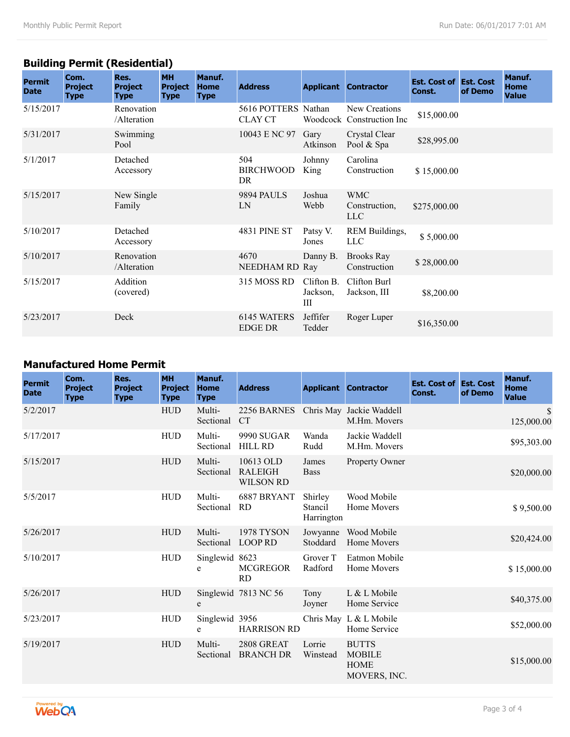# **Building Permit (Residential)**

| <b>Permit</b><br><b>Date</b> | Com.<br><b>Project</b><br><b>Type</b> | Res.<br><b>Project</b><br><b>Type</b> | <b>MH</b><br><b>Project</b><br><b>Type</b> | Manuf.<br><b>Home</b><br><b>Type</b> | <b>Address</b>                        |                             | <b>Applicant Contractor</b>                | <b>Est. Cost of Est. Cost</b><br>Const. | of Demo | <b>Manuf.</b><br><b>Home</b><br><b>Value</b> |
|------------------------------|---------------------------------------|---------------------------------------|--------------------------------------------|--------------------------------------|---------------------------------------|-----------------------------|--------------------------------------------|-----------------------------------------|---------|----------------------------------------------|
| 5/15/2017                    |                                       | Renovation<br>/Alteration             |                                            |                                      | 5616 POTTERS Nathan<br><b>CLAY CT</b> |                             | New Creations<br>Woodcock Construction Inc | \$15,000.00                             |         |                                              |
| 5/31/2017                    |                                       | Swimming<br>Pool                      |                                            |                                      | 10043 E NC 97                         | Gary<br>Atkinson            | Crystal Clear<br>Pool & Spa                | \$28,995.00                             |         |                                              |
| 5/1/2017                     |                                       | Detached<br>Accessory                 |                                            |                                      | 504<br><b>BIRCHWOOD</b><br>DR         | Johnny<br>King              | Carolina<br>Construction                   | \$15,000.00                             |         |                                              |
| 5/15/2017                    |                                       | New Single<br>Family                  |                                            |                                      | <b>9894 PAULS</b><br>LN               | Joshua<br>Webb              | <b>WMC</b><br>Construction,<br><b>LLC</b>  | \$275,000.00                            |         |                                              |
| 5/10/2017                    |                                       | Detached<br>Accessory                 |                                            |                                      | <b>4831 PINE ST</b>                   | Patsy V.<br>Jones           | REM Buildings,<br><b>LLC</b>               | \$5,000.00                              |         |                                              |
| 5/10/2017                    |                                       | Renovation<br>/Alteration             |                                            |                                      | 4670<br>NEEDHAM RD Ray                | Danny B.                    | <b>Brooks Ray</b><br>Construction          | \$28,000.00                             |         |                                              |
| 5/15/2017                    |                                       | Addition<br>(covered)                 |                                            |                                      | 315 MOSS RD                           | Clifton B.<br>Jackson,<br>Ш | Clifton Burl<br>Jackson, III               | \$8,200.00                              |         |                                              |
| 5/23/2017                    |                                       | Deck                                  |                                            |                                      | 6145 WATERS<br><b>EDGE DR</b>         | Jeffifer<br>Tedder          | Roger Luper                                | \$16,350.00                             |         |                                              |

## **Manufactured Home Permit**

| <b>Permit</b><br><b>Date</b> | Com.<br><b>Project</b><br><b>Type</b> | Res.<br><b>Project</b><br><b>Type</b> | <b>MH</b><br><b>Project</b><br><b>Type</b> | Manuf.<br><b>Home</b><br><b>Type</b> | <b>Address</b>                                  |                                  | <b>Applicant Contractor</b>                                  | <b>Est. Cost of Est. Cost</b><br>Const. | of Demo | Manuf.<br><b>Home</b><br><b>Value</b> |
|------------------------------|---------------------------------------|---------------------------------------|--------------------------------------------|--------------------------------------|-------------------------------------------------|----------------------------------|--------------------------------------------------------------|-----------------------------------------|---------|---------------------------------------|
| 5/2/2017                     |                                       |                                       | ${\rm HUD}$                                | Multi-<br>Sectional                  | 2256 BARNES<br><b>CT</b>                        |                                  | Chris May Jackie Waddell<br>M.Hm. Movers                     |                                         |         | $\mathbb{S}$<br>125,000.00            |
| 5/17/2017                    |                                       |                                       | <b>HUD</b>                                 | Multi-<br>Sectional                  | <b>9990 SUGAR</b><br><b>HILL RD</b>             | Wanda<br>Rudd                    | Jackie Waddell<br>M.Hm. Movers                               |                                         |         | \$95,303.00                           |
| 5/15/2017                    |                                       |                                       | ${\rm HUD}$                                | Multi-<br>Sectional                  | 10613 OLD<br><b>RALEIGH</b><br><b>WILSON RD</b> | James<br><b>Bass</b>             | Property Owner                                               |                                         |         | \$20,000.00                           |
| 5/5/2017                     |                                       |                                       | <b>HUD</b>                                 | Multi-<br>Sectional                  | 6887 BRYANT<br><b>RD</b>                        | Shirley<br>Stancil<br>Harrington | Wood Mobile<br>Home Movers                                   |                                         |         | \$9,500.00                            |
| 5/26/2017                    |                                       |                                       | <b>HUD</b>                                 | Multi-<br>Sectional                  | <b>1978 TYSON</b><br><b>LOOP RD</b>             | Jowyanne<br>Stoddard             | Wood Mobile<br>Home Movers                                   |                                         |         | \$20,424.00                           |
| 5/10/2017                    |                                       |                                       | <b>HUD</b>                                 | Singlewid 8623<br>e                  | <b>MCGREGOR</b><br><b>RD</b>                    | Grover T<br>Radford              | Eatmon Mobile<br>Home Movers                                 |                                         |         | \$15,000.00                           |
| 5/26/2017                    |                                       |                                       | ${\rm HUD}$                                | e                                    | Singlewid 7813 NC 56                            | Tony<br>Joyner                   | L & L Mobile<br>Home Service                                 |                                         |         | \$40,375.00                           |
| 5/23/2017                    |                                       |                                       | <b>HUD</b>                                 | Singlewid 3956<br>e                  | <b>HARRISON RD</b>                              |                                  | Chris May L & L Mobile<br>Home Service                       |                                         |         | \$52,000.00                           |
| 5/19/2017                    |                                       |                                       | <b>HUD</b>                                 | Multi-<br>Sectional                  | 2808 GREAT<br><b>BRANCH DR</b>                  | Lorrie<br>Winstead               | <b>BUTTS</b><br><b>MOBILE</b><br><b>HOME</b><br>MOVERS, INC. |                                         |         | \$15,000.00                           |